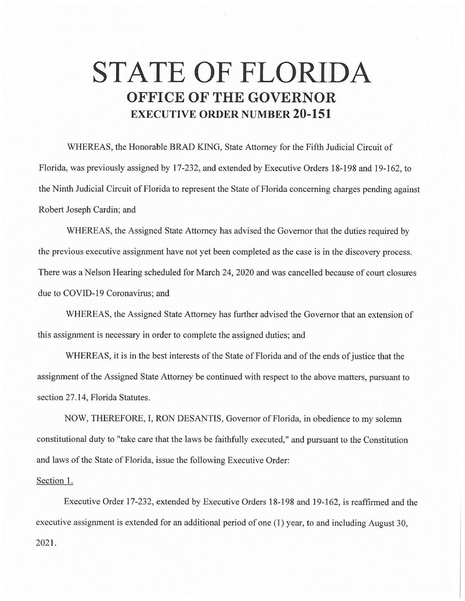## **STATE OF FLORIDA OFFICE OF THE GOVERNOR EXECUTIVE ORDER NUMBER 20-151**

WHEREAS, the Honorable BRAD KING, State Attorney for the Fifth Judicial Circuit of Florida, was previously assigned by 17-232, and extended by Executive Orders 18-198 and 19-162, to the Ninth Judicial Circuit of Florida to represent the State of Florida concerning charges pending against Robert Joseph Cardin; and

WHEREAS, the Assigned State Attorney has advised the Governor that the duties required by the previous executive assignment have not yet been completed as the case is in the discovery process. There was a Nelson Hearing scheduled for March 24, 2020 and was cancelled because of court closures due to COVID-19 Coronavirus; and

WHEREAS, the Assigned State Attorney has further advised the Governor that an extension of this assignment is necessary in order to complete the assigned duties; and

WHEREAS, it is in the best interests of the State of Florida and of the ends of justice that the assignment of the Assigned State Attorney be continued with respect to the above matters, pursuant to section 27.14, Florida Statutes.

NOW, THEREFORE, I, RON DESANTIS, Governor of Florida, in obedience to my solemn constitutional duty to "take care that the laws be faithfully executed," and pursuant to the Constitution and laws of the State of Florida, issue the following Executive Order:

## Section 1.

Executive Order 17-232, extended by Executive Orders 18-198 and 19-162, is reaffirmed and the executive assignment is extended for an additional period of one (1) year, to and including August 30, 2021.